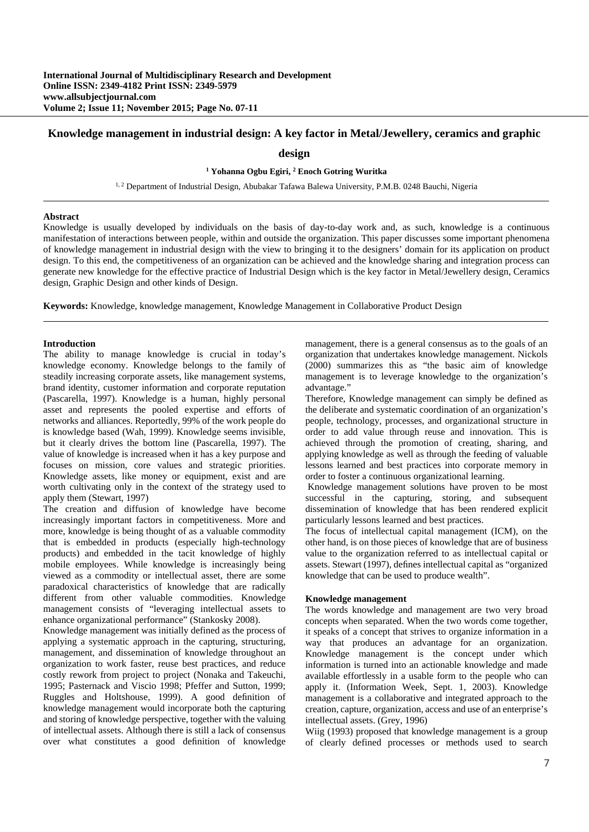# **Knowledge management in industrial design: A key factor in Metal/Jewellery, ceramics and graphic**

## **design**

<sup>1</sup> Yohanna Ogbu Egiri, <sup>2</sup> Enoch Gotring Wuritka

<sup>1,2</sup> Department of Industrial Design, Abubakar Tafawa Balewa University, P.M.B. 0248 Bauchi, Nigeria

#### **Abstract**

Knowledge is usually developed by individuals on the basis of day-to-day work and, as such, knowledge is a continuous manifestation of interactions between people, within and outside the organization. This paper discusses some important phenomena of knowledge management in industrial design with the view to bringing it to the designers' domain for its application on product design. To this end, the competitiveness of an organization can be achieved and the knowledge sharing and integration process can generate new knowledge for the effective practice of Industrial Design which is the key factor in Metal/Jewellery design, Ceramics design, Graphic Design and other kinds of Design.

**Keywords:** Knowledge, knowledge management, Knowledge Management in Collaborative Product Design

### **Introduction**

The ability to manage knowledge is crucial in today's knowledge economy. Knowledge belongs to the family of steadily increasing corporate assets, like management systems, brand identity, customer information and corporate reputation (Pascarella, 1997). Knowledge is a human, highly personal asset and represents the pooled expertise and efforts of networks and alliances. Reportedly, 99% of the work people do is knowledge based (Wah, 1999). Knowledge seems invisible, but it clearly drives the bottom line (Pascarella, 1997). The value of knowledge is increased when it has a key purpose and focuses on mission, core values and strategic priorities. Knowledge assets, like money or equipment, exist and are worth cultivating only in the context of the strategy used to apply them (Stewart, 1997)

The creation and diffusion of knowledge have become increasingly important factors in competitiveness. More and more, knowledge is being thought of as a valuable commodity that is embedded in products (especially high-technology products) and embedded in the tacit knowledge of highly mobile employees. While knowledge is increasingly being viewed as a commodity or intellectual asset, there are some paradoxical characteristics of knowledge that are radically different from other valuable commodities. Knowledge management consists of "leveraging intellectual assets to enhance organizational performance" (Stankosky 2008).

Knowledge management was initially defined as the process of applying a systematic approach in the capturing, structuring, management, and dissemination of knowledge throughout an organization to work faster, reuse best practices, and reduce costly rework from project to project (Nonaka and Takeuchi, 1995; Pasternack and Viscio 1998; Pfeffer and Sutton, 1999; Ruggles and Holtshouse, 1999). A good definition of knowledge management would incorporate both the capturing and storing of knowledge perspective, together with the valuing of intellectual assets. Although there is still a lack of consensus over what constitutes a good definition of knowledge

management, there is a general consensus as to the goals of an organization that undertakes knowledge management. Nickols (2000) summarizes this as "the basic aim of knowledge management is to leverage knowledge to the organization's advantage."

Therefore, Knowledge management can simply be defined as the deliberate and systematic coordination of an organization's people, technology, processes, and organizational structure in order to add value through reuse and innovation. This is achieved through the promotion of creating, sharing, and applying knowledge as well as through the feeding of valuable lessons learned and best practices into corporate memory in order to foster a continuous organizational learning.

 Knowledge management solutions have proven to be most successful in the capturing, storing, and subsequent dissemination of knowledge that has been rendered explicit particularly lessons learned and best practices.

The focus of intellectual capital management (ICM), on the other hand, is on those pieces of knowledge that are of business value to the organization referred to as intellectual capital or assets. Stewart (1997), defines intellectual capital as "organized knowledge that can be used to produce wealth".

## **Knowledge management**

The words knowledge and management are two very broad concepts when separated. When the two words come together, it speaks of a concept that strives to organize information in a way that produces an advantage for an organization. Knowledge management is the concept under which information is turned into an actionable knowledge and made available effortlessly in a usable form to the people who can apply it. (Information Week, Sept. 1, 2003). Knowledge management is a collaborative and integrated approach to the creation, capture, organization, access and use of an enterprise's intellectual assets. (Grey, 1996)

Wiig (1993) proposed that knowledge management is a group of clearly defined processes or methods used to search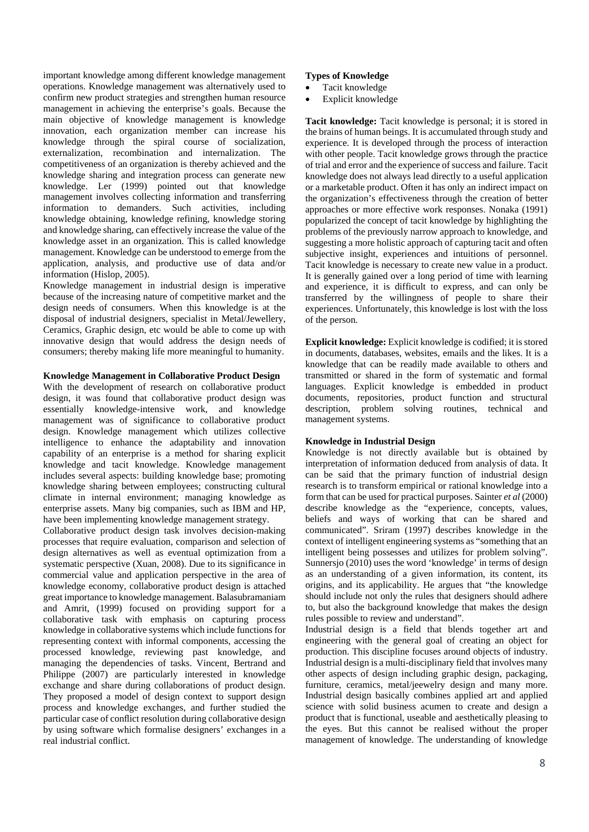important knowledge among different knowledge management operations. Knowledge management was alternatively used to confirm new product strategies and strengthen human resource management in achieving the enterprise's goals. Because the main objective of knowledge management is knowledge innovation, each organization member can increase his knowledge through the spiral course of socialization, externalization, recombination and internalization. The competitiveness of an organization is thereby achieved and the knowledge sharing and integration process can generate new knowledge. Ler (1999) pointed out that knowledge management involves collecting information and transferring information to demanders. Such activities, including knowledge obtaining, knowledge refining, knowledge storing and knowledge sharing, can effectively increase the value of the knowledge asset in an organization. This is called knowledge management. Knowledge can be understood to emerge from the application, analysis, and productive use of data and/or information (Hislop, 2005).

Knowledge management in industrial design is imperative because of the increasing nature of competitive market and the design needs of consumers. When this knowledge is at the disposal of industrial designers, specialist in Metal/Jewellery, Ceramics, Graphic design, etc would be able to come up with innovative design that would address the design needs of consumers; thereby making life more meaningful to humanity.

#### **Knowledge Management in Collaborative Product Design**

With the development of research on collaborative product design, it was found that collaborative product design was essentially knowledge-intensive work, and knowledge management was of significance to collaborative product design. Knowledge management which utilizes collective intelligence to enhance the adaptability and innovation capability of an enterprise is a method for sharing explicit knowledge and tacit knowledge. Knowledge management includes several aspects: building knowledge base; promoting knowledge sharing between employees; constructing cultural climate in internal environment; managing knowledge as enterprise assets. Many big companies, such as IBM and HP, have been implementing knowledge management strategy.

Collaborative product design task involves decision-making processes that require evaluation, comparison and selection of design alternatives as well as eventual optimization from a systematic perspective (Xuan, 2008). Due to its significance in commercial value and application perspective in the area of knowledge economy, collaborative product design is attached great importance to knowledge management. Balasubramaniam and Amrit, (1999) focused on providing support for a collaborative task with emphasis on capturing process knowledge in collaborative systems which include functions for representing context with informal components, accessing the processed knowledge, reviewing past knowledge, and managing the dependencies of tasks. Vincent, Bertrand and Philippe (2007) are particularly interested in knowledge exchange and share during collaborations of product design. They proposed a model of design context to support design process and knowledge exchanges, and further studied the particular case of conflict resolution during collaborative design by using software which formalise designers' exchanges in a real industrial conflict.

### **Types of Knowledge**

- Tacit knowledge
- Explicit knowledge

**Tacit knowledge:** Tacit knowledge is personal; it is stored in the brains of human beings. It is accumulated through study and experience. It is developed through the process of interaction with other people. Tacit knowledge grows through the practice of trial and error and the experience of success and failure. Tacit knowledge does not always lead directly to a useful application or a marketable product. Often it has only an indirect impact on the organization's effectiveness through the creation of better approaches or more effective work responses. Nonaka (1991) popularized the concept of tacit knowledge by highlighting the problems of the previously narrow approach to knowledge, and suggesting a more holistic approach of capturing tacit and often subjective insight, experiences and intuitions of personnel. Tacit knowledge is necessary to create new value in a product. It is generally gained over a long period of time with learning and experience, it is difficult to express, and can only be transferred by the willingness of people to share their experiences. Unfortunately, this knowledge is lost with the loss of the person.

**Explicit knowledge:** Explicit knowledge is codified; it is stored in documents, databases, websites, emails and the likes. It is a knowledge that can be readily made available to others and transmitted or shared in the form of systematic and formal languages. Explicit knowledge is embedded in product documents, repositories, product function and structural description, problem solving routines, technical and management systems.

### **Knowledge in Industrial Design**

Knowledge is not directly available but is obtained by interpretation of information deduced from analysis of data. It can be said that the primary function of industrial design research is to transform empirical or rational knowledge into a form that can be used for practical purposes. Sainter *et al* (2000) describe knowledge as the "experience, concepts, values, beliefs and ways of working that can be shared and communicated". Sriram (1997) describes knowledge in the context of intelligent engineering systems as "something that an intelligent being possesses and utilizes for problem solving". Sunnersio (2010) uses the word 'knowledge' in terms of design as an understanding of a given information, its content, its origins, and its applicability. He argues that "the knowledge should include not only the rules that designers should adhere to, but also the background knowledge that makes the design rules possible to review and understand".

Industrial design is a field that blends together art and engineering with the general goal of creating an object for production. This discipline focuses around objects of industry. Industrial design is a multi-disciplinary field that involves many other aspects of design including graphic design, packaging, furniture, ceramics, metal/jeewelry design and many more. Industrial design basically combines applied art and applied science with solid business acumen to create and design a product that is functional, useable and aesthetically pleasing to the eyes. But this cannot be realised without the proper management of knowledge. The understanding of knowledge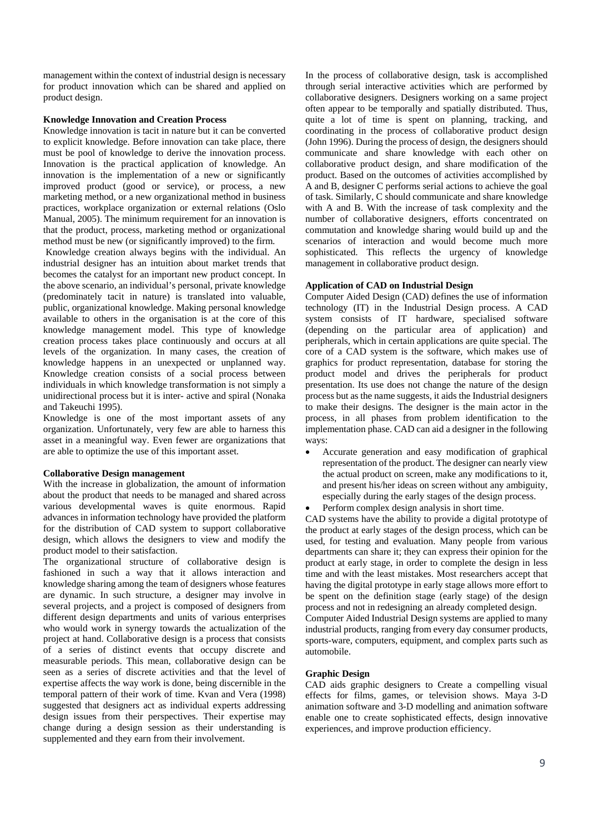management within the context of industrial design is necessary for product innovation which can be shared and applied on product design.

## **Knowledge Innovation and Creation Process**

Knowledge innovation is tacit in nature but it can be converted to explicit knowledge. Before innovation can take place, there must be pool of knowledge to derive the innovation process. Innovation is the practical application of knowledge. An innovation is the implementation of a new or significantly improved product (good or service), or process, a new marketing method, or a new organizational method in business practices, workplace organization or external relations (Oslo Manual, 2005). The minimum requirement for an innovation is that the product, process, marketing method or organizational method must be new (or significantly improved) to the firm.

 Knowledge creation always begins with the individual. An industrial designer has an intuition about market trends that becomes the catalyst for an important new product concept. In the above scenario, an individual's personal, private knowledge (predominately tacit in nature) is translated into valuable, public, organizational knowledge. Making personal knowledge available to others in the organisation is at the core of this knowledge management model. This type of knowledge creation process takes place continuously and occurs at all levels of the organization. In many cases, the creation of knowledge happens in an unexpected or unplanned way. Knowledge creation consists of a social process between individuals in which knowledge transformation is not simply a unidirectional process but it is inter- active and spiral (Nonaka and Takeuchi 1995).

Knowledge is one of the most important assets of any organization. Unfortunately, very few are able to harness this asset in a meaningful way. Even fewer are organizations that are able to optimize the use of this important asset.

### **Collaborative Design management**

With the increase in globalization, the amount of information about the product that needs to be managed and shared across various developmental waves is quite enormous. Rapid advances in information technology have provided the platform for the distribution of CAD system to support collaborative design, which allows the designers to view and modify the product model to their satisfaction.

The organizational structure of collaborative design is fashioned in such a way that it allows interaction and knowledge sharing among the team of designers whose features are dynamic. In such structure, a designer may involve in several projects, and a project is composed of designers from different design departments and units of various enterprises who would work in synergy towards the actualization of the project at hand. Collaborative design is a process that consists of a series of distinct events that occupy discrete and measurable periods. This mean, collaborative design can be seen as a series of discrete activities and that the level of expertise affects the way work is done, being discernible in the temporal pattern of their work of time. Kvan and Vera (1998) suggested that designers act as individual experts addressing design issues from their perspectives. Their expertise may change during a design session as their understanding is supplemented and they earn from their involvement.

In the process of collaborative design, task is accomplished through serial interactive activities which are performed by collaborative designers. Designers working on a same project often appear to be temporally and spatially distributed. Thus, quite a lot of time is spent on planning, tracking, and coordinating in the process of collaborative product design (John 1996). During the process of design, the designers should communicate and share knowledge with each other on collaborative product design, and share modification of the product. Based on the outcomes of activities accomplished by A and B, designer C performs serial actions to achieve the goal of task. Similarly, C should communicate and share knowledge with A and B. With the increase of task complexity and the number of collaborative designers, efforts concentrated on commutation and knowledge sharing would build up and the scenarios of interaction and would become much more sophisticated. This reflects the urgency of knowledge management in collaborative product design.

## **Application of CAD on Industrial Design**

Computer Aided Design (CAD) defines the use of information technology (IT) in the Industrial Design process. A CAD system consists of IT hardware, specialised software (depending on the particular area of application) and peripherals, which in certain applications are quite special. The core of a CAD system is the software, which makes use of graphics for product representation, database for storing the product model and drives the peripherals for product presentation. Its use does not change the nature of the design process but as the name suggests, it aids the Industrial designers to make their designs. The designer is the main actor in the process, in all phases from problem identification to the implementation phase. CAD can aid a designer in the following ways:

- Accurate generation and easy modification of graphical representation of the product. The designer can nearly view the actual product on screen, make any modifications to it, and present his/her ideas on screen without any ambiguity, especially during the early stages of the design process.
- Perform complex design analysis in short time.

CAD systems have the ability to provide a digital prototype of the product at early stages of the design process, which can be used, for testing and evaluation. Many people from various departments can share it; they can express their opinion for the product at early stage, in order to complete the design in less time and with the least mistakes. Most researchers accept that having the digital prototype in early stage allows more effort to be spent on the definition stage (early stage) of the design process and not in redesigning an already completed design.

Computer Aided Industrial Design systems are applied to many industrial products, ranging from every day consumer products, sports-ware, computers, equipment, and complex parts such as automobile.

#### **Graphic Design**

CAD aids graphic designers to Create a compelling visual effects for films, games, or television shows. Maya 3-D animation software and 3-D modelling and animation software enable one to create sophisticated effects, design innovative experiences, and improve production efficiency.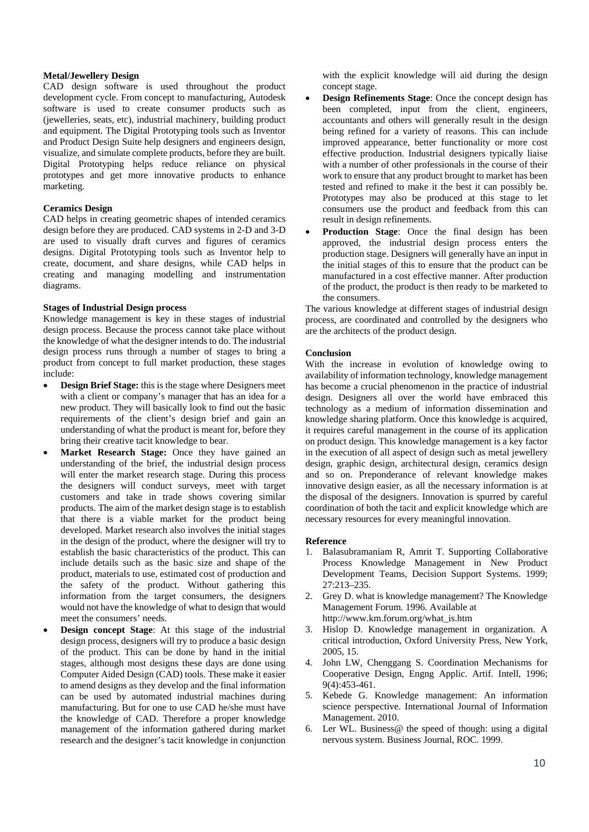### **Metal/Jewellery Design**

CAD design software is used throughout the product development cycle. From concept to manufacturing, Autodesk software is used to create consumer products such as (jewelleries, seats, etc), industrial machinery, building product and equipment. The Digital Prototyping tools such as Inventor and Product Design Suite help designers and engineers design, visualize, and simulate complete products, before they are built. Digital Prototyping helps reduce reliance on physical prototypes and get more innovative products to enhance marketing.

## **Ceramics Design**

CAD helps in creating geometric shapes of intended ceramics design before they are produced. CAD systems in 2-D and 3-D are used to visually draft curves and figures of ceramics designs. Digital Prototyping tools such as Inventor help to create, document, and share designs, while CAD helps in creating and managing modelling and instrumentation diagrams.

## **Stages of Industrial Design process**

Knowledge management is key in these stages of industrial design process. Because the process cannot take place without the knowledge of what the designer intends to do. The industrial design process runs through a number of stages to bring a product from concept to full market production, these stages include:

- **Design Brief Stage:** this is the stage where Designers meet with a client or company's manager that has an idea for a new product. They will basically look to find out the basic requirements of the client's design brief and gain an understanding of what the product is meant for, before they bring their creative tacit knowledge to bear.
- **Market Research Stage:** Once they have gained an understanding of the brief, the industrial design process will enter the market research stage. During this process the designers will conduct surveys, meet with target customers and take in trade shows covering similar products. The aim of the market design stage is to establish that there is a viable market for the product being developed. Market research also involves the initial stages in the design of the product, where the designer will try to establish the basic characteristics of the product. This can include details such as the basic size and shape of the product, materials to use, estimated cost of production and the safety of the product. Without gathering this information from the target consumers, the designers would not have the knowledge of what to design that would meet the consumers' needs.
- **Design concept Stage**: At this stage of the industrial design process, designers will try to produce a basic design of the product. This can be done by hand in the initial stages, although most designs these days are done using Computer Aided Design (CAD) tools. These make it easier to amend designs as they develop and the final information can be used by automated industrial machines during manufacturing. But for one to use CAD he/she must have the knowledge of CAD. Therefore a proper knowledge management of the information gathered during market research and the designer's tacit knowledge in conjunction

with the explicit knowledge will aid during the design concept stage.

- **Design Refinements Stage**: Once the concept design has been completed, input from the client, engineers, accountants and others will generally result in the design being refined for a variety of reasons. This can include improved appearance, better functionality or more cost effective production. Industrial designers typically liaise with a number of other professionals in the course of their work to ensure that any product brought to market has been tested and refined to make it the best it can possibly be. Prototypes may also be produced at this stage to let consumers use the product and feedback from this can result in design refinements.
- **Production Stage**: Once the final design has been approved, the industrial design process enters the production stage. Designers will generally have an input in the initial stages of this to ensure that the product can be manufactured in a cost effective manner. After production of the product, the product is then ready to be marketed to the consumers.

The various knowledge at different stages of industrial design process, are coordinated and controlled by the designers who are the architects of the product design.

#### **Conclusion**

With the increase in evolution of knowledge owing to availability of information technology, knowledge management has become a crucial phenomenon in the practice of industrial design. Designers all over the world have embraced this technology as a medium of information dissemination and knowledge sharing platform. Once this knowledge is acquired, it requires careful management in the course of its application on product design. This knowledge management is a key factor in the execution of all aspect of design such as metal jewellery design, graphic design, architectural design, ceramics design and so on. Preponderance of relevant knowledge makes innovative design easier, as all the necessary information is at the disposal of the designers. Innovation is spurred by careful coordination of both the tacit and explicit knowledge which are necessary resources for every meaningful innovation.

#### **Reference**

- 1. Balasubramaniam R, Amrit T. Supporting Collaborative Process Knowledge Management in New Product Development Teams, Decision Support Systems. 1999; 27:213–235.
- 2. Grey D. what is knowledge management? The Knowledge Management Forum. 1996. Available at http://www.km.forum.org/what\_is.htm
- 3. Hislop D. Knowledge management in organization. A critical introduction, Oxford University Press, New York, 2005, 15.
- 4. John LW, Chenggang S. Coordination Mechanisms for Cooperative Design, Engng Applic. Artif. Intell, 1996; 9(4):453-461.
- 5. Kebede G. Knowledge management: An information science perspective. International Journal of Information Management. 2010.
- 6. Ler WL. Business  $@$  the speed of though: using a digital nervous system. Business Journal, ROC. 1999.